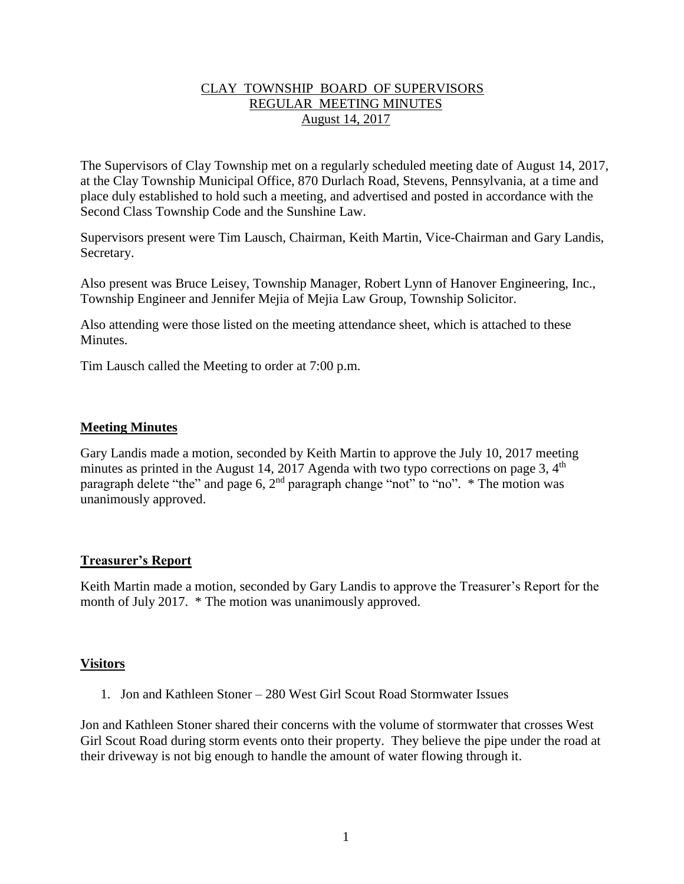## CLAY TOWNSHIP BOARD OF SUPERVISORS REGULAR MEETING MINUTES August 14, 2017

The Supervisors of Clay Township met on a regularly scheduled meeting date of August 14, 2017, at the Clay Township Municipal Office, 870 Durlach Road, Stevens, Pennsylvania, at a time and place duly established to hold such a meeting, and advertised and posted in accordance with the Second Class Township Code and the Sunshine Law.

Supervisors present were Tim Lausch, Chairman, Keith Martin, Vice-Chairman and Gary Landis, Secretary.

Also present was Bruce Leisey, Township Manager, Robert Lynn of Hanover Engineering, Inc., Township Engineer and Jennifer Mejia of Mejia Law Group, Township Solicitor.

Also attending were those listed on the meeting attendance sheet, which is attached to these **Minutes** 

Tim Lausch called the Meeting to order at 7:00 p.m.

## **Meeting Minutes**

Gary Landis made a motion, seconded by Keith Martin to approve the July 10, 2017 meeting minutes as printed in the August 14, 2017 Agenda with two typo corrections on page 3,  $4<sup>th</sup>$ paragraph delete "the" and page 6, 2<sup>nd</sup> paragraph change "not" to "no". \* The motion was unanimously approved.

## **Treasurer's Report**

Keith Martin made a motion, seconded by Gary Landis to approve the Treasurer's Report for the month of July 2017. \* The motion was unanimously approved.

### **Visitors**

1. Jon and Kathleen Stoner – 280 West Girl Scout Road Stormwater Issues

Jon and Kathleen Stoner shared their concerns with the volume of stormwater that crosses West Girl Scout Road during storm events onto their property. They believe the pipe under the road at their driveway is not big enough to handle the amount of water flowing through it.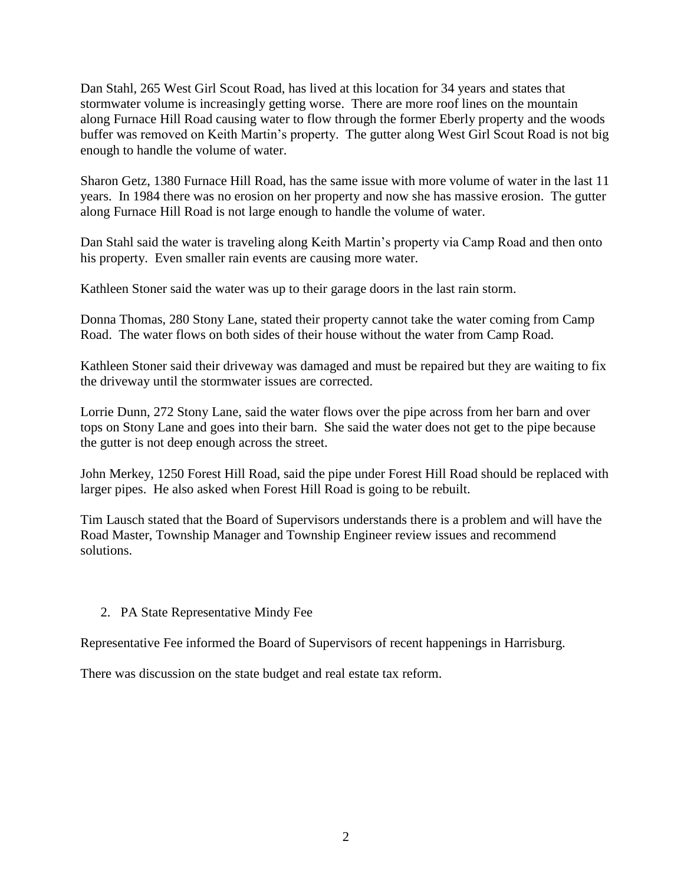Dan Stahl, 265 West Girl Scout Road, has lived at this location for 34 years and states that stormwater volume is increasingly getting worse. There are more roof lines on the mountain along Furnace Hill Road causing water to flow through the former Eberly property and the woods buffer was removed on Keith Martin's property. The gutter along West Girl Scout Road is not big enough to handle the volume of water.

Sharon Getz, 1380 Furnace Hill Road, has the same issue with more volume of water in the last 11 years. In 1984 there was no erosion on her property and now she has massive erosion. The gutter along Furnace Hill Road is not large enough to handle the volume of water.

Dan Stahl said the water is traveling along Keith Martin's property via Camp Road and then onto his property. Even smaller rain events are causing more water.

Kathleen Stoner said the water was up to their garage doors in the last rain storm.

Donna Thomas, 280 Stony Lane, stated their property cannot take the water coming from Camp Road. The water flows on both sides of their house without the water from Camp Road.

Kathleen Stoner said their driveway was damaged and must be repaired but they are waiting to fix the driveway until the stormwater issues are corrected.

Lorrie Dunn, 272 Stony Lane, said the water flows over the pipe across from her barn and over tops on Stony Lane and goes into their barn. She said the water does not get to the pipe because the gutter is not deep enough across the street.

John Merkey, 1250 Forest Hill Road, said the pipe under Forest Hill Road should be replaced with larger pipes. He also asked when Forest Hill Road is going to be rebuilt.

Tim Lausch stated that the Board of Supervisors understands there is a problem and will have the Road Master, Township Manager and Township Engineer review issues and recommend solutions.

## 2. PA State Representative Mindy Fee

Representative Fee informed the Board of Supervisors of recent happenings in Harrisburg.

There was discussion on the state budget and real estate tax reform.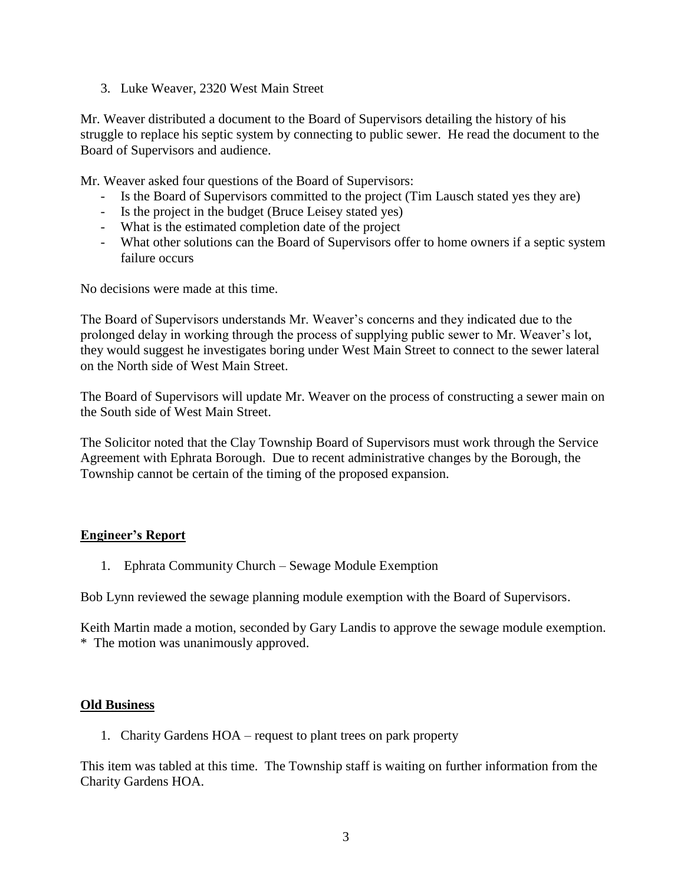3. Luke Weaver, 2320 West Main Street

Mr. Weaver distributed a document to the Board of Supervisors detailing the history of his struggle to replace his septic system by connecting to public sewer. He read the document to the Board of Supervisors and audience.

Mr. Weaver asked four questions of the Board of Supervisors:

- Is the Board of Supervisors committed to the project (Tim Lausch stated yes they are)
- Is the project in the budget (Bruce Leisey stated yes)
- What is the estimated completion date of the project
- What other solutions can the Board of Supervisors offer to home owners if a septic system failure occurs

No decisions were made at this time.

The Board of Supervisors understands Mr. Weaver's concerns and they indicated due to the prolonged delay in working through the process of supplying public sewer to Mr. Weaver's lot, they would suggest he investigates boring under West Main Street to connect to the sewer lateral on the North side of West Main Street.

The Board of Supervisors will update Mr. Weaver on the process of constructing a sewer main on the South side of West Main Street.

The Solicitor noted that the Clay Township Board of Supervisors must work through the Service Agreement with Ephrata Borough. Due to recent administrative changes by the Borough, the Township cannot be certain of the timing of the proposed expansion.

## **Engineer's Report**

1. Ephrata Community Church – Sewage Module Exemption

Bob Lynn reviewed the sewage planning module exemption with the Board of Supervisors.

Keith Martin made a motion, seconded by Gary Landis to approve the sewage module exemption. \* The motion was unanimously approved.

### **Old Business**

1. Charity Gardens HOA – request to plant trees on park property

This item was tabled at this time. The Township staff is waiting on further information from the Charity Gardens HOA.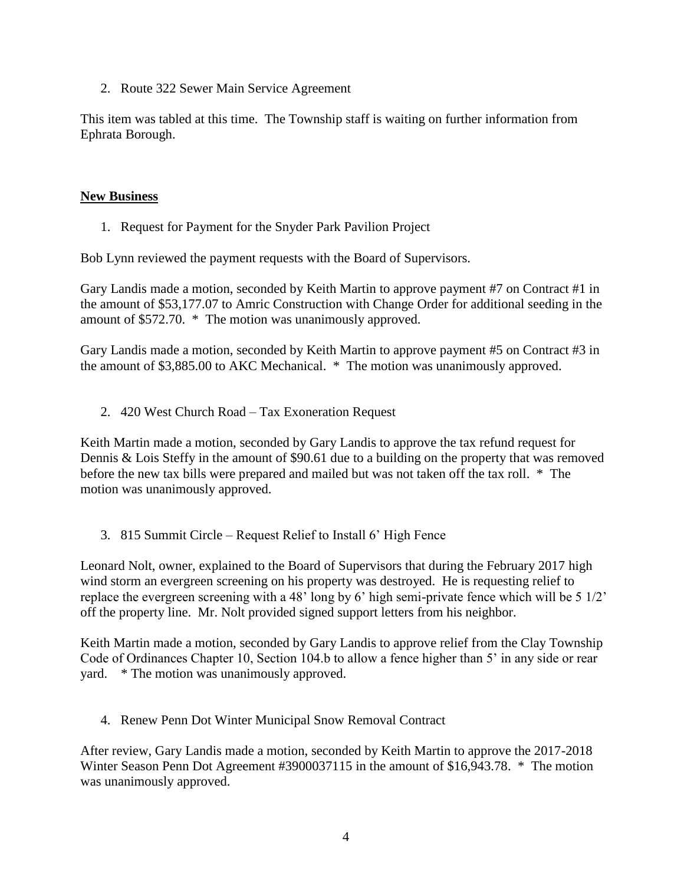2. Route 322 Sewer Main Service Agreement

This item was tabled at this time. The Township staff is waiting on further information from Ephrata Borough.

### **New Business**

1. Request for Payment for the Snyder Park Pavilion Project

Bob Lynn reviewed the payment requests with the Board of Supervisors.

Gary Landis made a motion, seconded by Keith Martin to approve payment #7 on Contract #1 in the amount of \$53,177.07 to Amric Construction with Change Order for additional seeding in the amount of \$572.70. \* The motion was unanimously approved.

Gary Landis made a motion, seconded by Keith Martin to approve payment #5 on Contract #3 in the amount of \$3,885.00 to AKC Mechanical. \* The motion was unanimously approved.

2. 420 West Church Road – Tax Exoneration Request

Keith Martin made a motion, seconded by Gary Landis to approve the tax refund request for Dennis & Lois Steffy in the amount of \$90.61 due to a building on the property that was removed before the new tax bills were prepared and mailed but was not taken off the tax roll. \* The motion was unanimously approved.

3. 815 Summit Circle – Request Relief to Install 6' High Fence

Leonard Nolt, owner, explained to the Board of Supervisors that during the February 2017 high wind storm an evergreen screening on his property was destroyed. He is requesting relief to replace the evergreen screening with a 48' long by 6' high semi-private fence which will be 5 1/2' off the property line. Mr. Nolt provided signed support letters from his neighbor.

Keith Martin made a motion, seconded by Gary Landis to approve relief from the Clay Township Code of Ordinances Chapter 10, Section 104.b to allow a fence higher than 5' in any side or rear yard. \* The motion was unanimously approved.

4. Renew Penn Dot Winter Municipal Snow Removal Contract

After review, Gary Landis made a motion, seconded by Keith Martin to approve the 2017-2018 Winter Season Penn Dot Agreement #3900037115 in the amount of \$16,943.78. \* The motion was unanimously approved.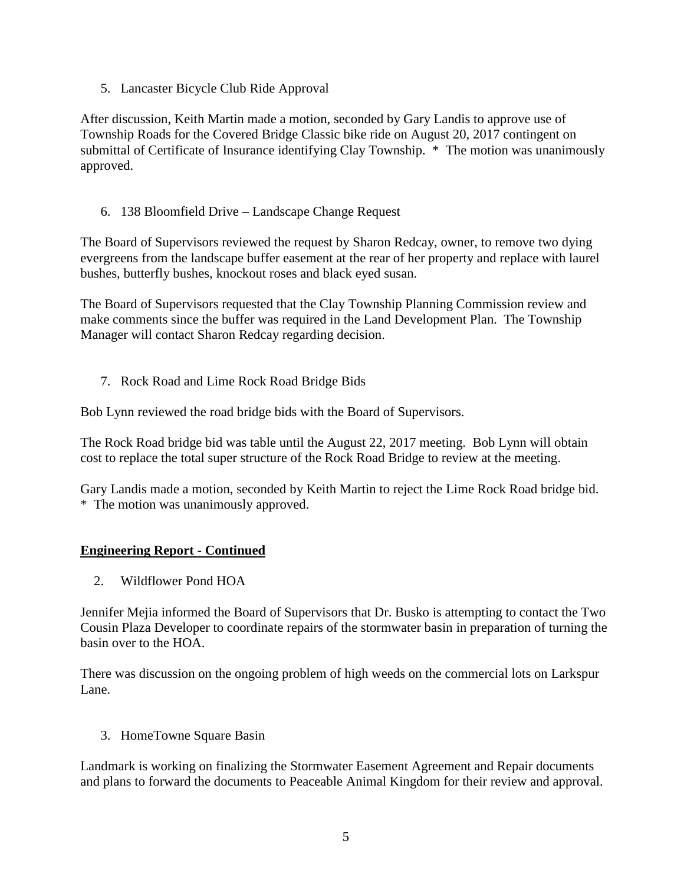5. Lancaster Bicycle Club Ride Approval

After discussion, Keith Martin made a motion, seconded by Gary Landis to approve use of Township Roads for the Covered Bridge Classic bike ride on August 20, 2017 contingent on submittal of Certificate of Insurance identifying Clay Township. \* The motion was unanimously approved.

6. 138 Bloomfield Drive – Landscape Change Request

The Board of Supervisors reviewed the request by Sharon Redcay, owner, to remove two dying evergreens from the landscape buffer easement at the rear of her property and replace with laurel bushes, butterfly bushes, knockout roses and black eyed susan.

The Board of Supervisors requested that the Clay Township Planning Commission review and make comments since the buffer was required in the Land Development Plan. The Township Manager will contact Sharon Redcay regarding decision.

7. Rock Road and Lime Rock Road Bridge Bids

Bob Lynn reviewed the road bridge bids with the Board of Supervisors.

The Rock Road bridge bid was table until the August 22, 2017 meeting. Bob Lynn will obtain cost to replace the total super structure of the Rock Road Bridge to review at the meeting.

Gary Landis made a motion, seconded by Keith Martin to reject the Lime Rock Road bridge bid. \* The motion was unanimously approved.

# **Engineering Report - Continued**

2. Wildflower Pond HOA

Jennifer Mejia informed the Board of Supervisors that Dr. Busko is attempting to contact the Two Cousin Plaza Developer to coordinate repairs of the stormwater basin in preparation of turning the basin over to the HOA.

There was discussion on the ongoing problem of high weeds on the commercial lots on Larkspur Lane.

3. HomeTowne Square Basin

Landmark is working on finalizing the Stormwater Easement Agreement and Repair documents and plans to forward the documents to Peaceable Animal Kingdom for their review and approval.